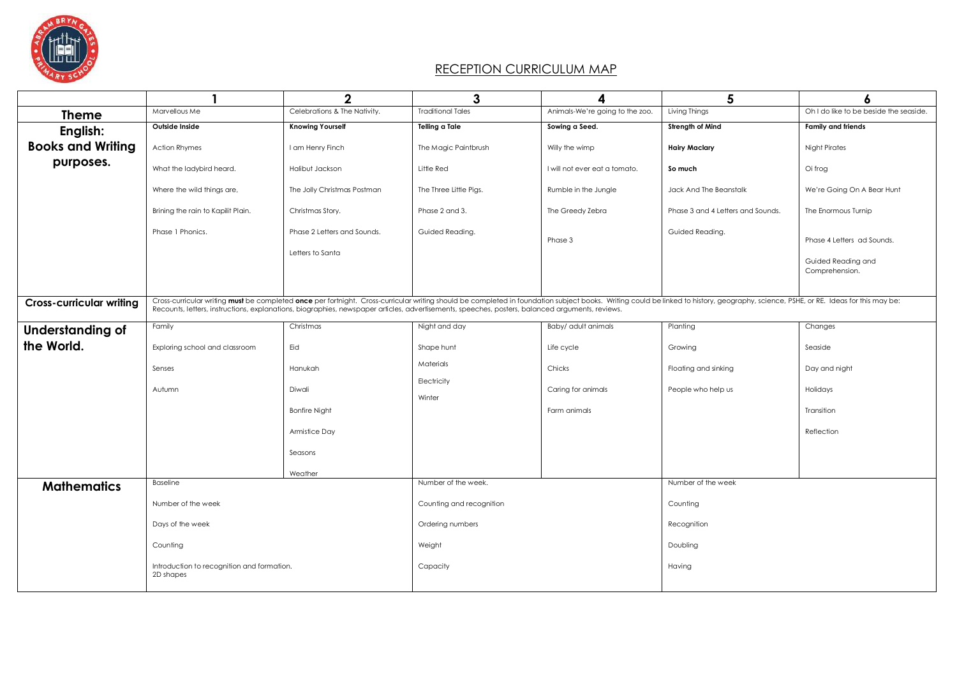

## RECEPTION CURRICULUM MAP

|                                 |                                                                                                                                                                                                                                                                                                                                                                                   | $\mathbf 2$                  | 3                        | 4                               | 5                                 | 6                                      |
|---------------------------------|-----------------------------------------------------------------------------------------------------------------------------------------------------------------------------------------------------------------------------------------------------------------------------------------------------------------------------------------------------------------------------------|------------------------------|--------------------------|---------------------------------|-----------------------------------|----------------------------------------|
| <b>Theme</b>                    | Marvellous Me                                                                                                                                                                                                                                                                                                                                                                     | Celebrations & The Nativity. | <b>Traditional Tales</b> | Animals-We're going to the zoo. | Living Things                     | Oh I do like to be beside the seaside. |
| English:                        | Outside Inside                                                                                                                                                                                                                                                                                                                                                                    | <b>Knowing Yourself</b>      | Telling a Tale           | Sowing a Seed.                  | Strength of Mind                  | <b>Family and friends</b>              |
| <b>Books and Writing</b>        | <b>Action Rhymes</b>                                                                                                                                                                                                                                                                                                                                                              | I am Henry Finch             | The Magic Paintbrush     | Willy the wimp                  | <b>Hairy Maclary</b>              | <b>Night Pirates</b>                   |
| purposes.                       | What the ladybird heard.                                                                                                                                                                                                                                                                                                                                                          | Halibut Jackson              | Little Red               | I will not ever eat a tomato.   | So much                           | Oi frog                                |
|                                 | Where the wild things are,                                                                                                                                                                                                                                                                                                                                                        | The Jolly Christmas Postman  | The Three Little Pigs.   | Rumble in the Jungle            | Jack And The Beanstalk            | We're Going On A Bear Hunt             |
|                                 | Brining the rain to Kapilit Plain.                                                                                                                                                                                                                                                                                                                                                | Christmas Story.             | Phase 2 and 3.           | The Greedy Zebra                | Phase 3 and 4 Letters and Sounds. | The Enormous Turnip                    |
|                                 | Phase 1 Phonics.                                                                                                                                                                                                                                                                                                                                                                  | Phase 2 Letters and Sounds.  | Guided Reading.          | Phase 3                         | Guided Reading.                   | Phase 4 Letters ad Sounds.             |
|                                 |                                                                                                                                                                                                                                                                                                                                                                                   | Letters to Santa             |                          |                                 |                                   | Guided Reading and                     |
|                                 |                                                                                                                                                                                                                                                                                                                                                                                   |                              |                          |                                 |                                   | Comprehension.                         |
|                                 |                                                                                                                                                                                                                                                                                                                                                                                   |                              |                          |                                 |                                   |                                        |
| <b>Cross-curricular writing</b> | Cross-curricular writing must be completed once per fortnight. Cross-curricular writing should be completed in foundation subject books. Writing could be linked to history, geography, science, PSHE, or RE. Ideas for this m<br>Recounts, letters, instructions, explanations, biographies, newspaper articles, advertisements, speeches, posters, balanced arguments, reviews. |                              |                          |                                 |                                   |                                        |
| Understanding of                | Family                                                                                                                                                                                                                                                                                                                                                                            | Christmas                    | Night and day            | Baby/ adult animals             | Planting                          | Changes                                |
| the World.                      | Exploring school and classroom                                                                                                                                                                                                                                                                                                                                                    | Eid                          | Shape hunt               | Life cycle                      | Growing                           | Seaside                                |
|                                 | Senses                                                                                                                                                                                                                                                                                                                                                                            | Hanukah                      | Materials                | Chicks                          | Floating and sinking              | Day and night                          |
|                                 | Autumn                                                                                                                                                                                                                                                                                                                                                                            | Diwali                       | Electricity<br>Winter    | Caring for animals              | People who help us                | Holidays                               |
|                                 |                                                                                                                                                                                                                                                                                                                                                                                   | <b>Bonfire Night</b>         |                          | Farm animals                    |                                   | Transition                             |
|                                 |                                                                                                                                                                                                                                                                                                                                                                                   | Armistice Day                |                          |                                 |                                   | Reflection                             |
|                                 |                                                                                                                                                                                                                                                                                                                                                                                   | Seasons                      |                          |                                 |                                   |                                        |
|                                 |                                                                                                                                                                                                                                                                                                                                                                                   | Weather                      |                          |                                 |                                   |                                        |
| <b>Mathematics</b>              | Baseline                                                                                                                                                                                                                                                                                                                                                                          |                              | Number of the week.      |                                 | Number of the week                |                                        |
|                                 | Number of the week                                                                                                                                                                                                                                                                                                                                                                |                              | Counting and recognition |                                 | Counting                          |                                        |
|                                 | Days of the week                                                                                                                                                                                                                                                                                                                                                                  |                              | Ordering numbers         |                                 | Recognition                       |                                        |
|                                 | Counting                                                                                                                                                                                                                                                                                                                                                                          |                              | Weight                   |                                 | Doubling                          |                                        |
|                                 | Introduction to recognition and formation.<br>2D shapes                                                                                                                                                                                                                                                                                                                           |                              | Capacity                 |                                 | Having                            |                                        |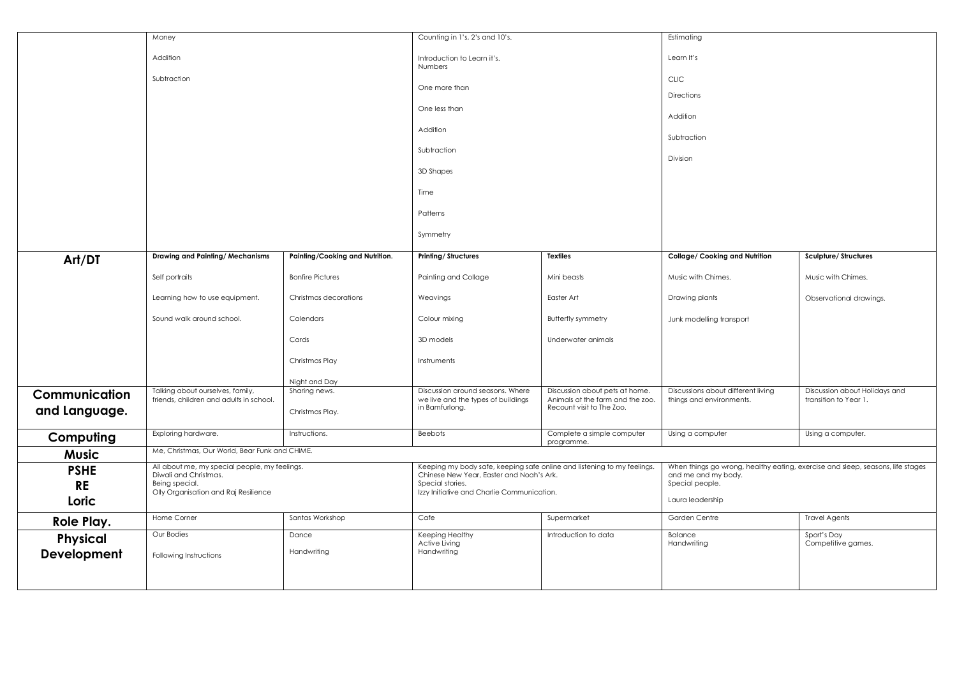|                                   | Money                                                                                                                            |                                  | Counting in 1's, 2's and 10's.                                                                                                                                                        |                                                                                                 |                                                                                                                                              | Estimating                                             |  |
|-----------------------------------|----------------------------------------------------------------------------------------------------------------------------------|----------------------------------|---------------------------------------------------------------------------------------------------------------------------------------------------------------------------------------|-------------------------------------------------------------------------------------------------|----------------------------------------------------------------------------------------------------------------------------------------------|--------------------------------------------------------|--|
|                                   | Addition                                                                                                                         |                                  | Introduction to Learn it's.<br>Numbers                                                                                                                                                |                                                                                                 | Learn It's                                                                                                                                   |                                                        |  |
|                                   | Subtraction                                                                                                                      |                                  | One more than                                                                                                                                                                         |                                                                                                 | <b>CLIC</b>                                                                                                                                  |                                                        |  |
|                                   |                                                                                                                                  |                                  | One less than<br>Addition<br>Subtraction<br>3D Shapes<br>Time<br>Patterns                                                                                                             |                                                                                                 | Directions<br>Addition                                                                                                                       |                                                        |  |
|                                   |                                                                                                                                  |                                  |                                                                                                                                                                                       |                                                                                                 | Subtraction                                                                                                                                  |                                                        |  |
|                                   |                                                                                                                                  |                                  |                                                                                                                                                                                       |                                                                                                 | Division                                                                                                                                     |                                                        |  |
|                                   |                                                                                                                                  |                                  |                                                                                                                                                                                       |                                                                                                 |                                                                                                                                              |                                                        |  |
|                                   |                                                                                                                                  |                                  |                                                                                                                                                                                       |                                                                                                 |                                                                                                                                              |                                                        |  |
|                                   |                                                                                                                                  |                                  |                                                                                                                                                                                       |                                                                                                 |                                                                                                                                              |                                                        |  |
|                                   | Symmetry                                                                                                                         |                                  |                                                                                                                                                                                       |                                                                                                 |                                                                                                                                              |                                                        |  |
| Art/DT                            | Drawing and Painting/Mechanisms                                                                                                  | Painting/Cooking and Nutrition.  | <b>Printing/Structures</b>                                                                                                                                                            | <b>Textiles</b>                                                                                 | Collage/ Cooking and Nutrition                                                                                                               | Sculpture/Structures                                   |  |
|                                   | Self portraits                                                                                                                   | <b>Bonfire Pictures</b>          | Painting and Collage                                                                                                                                                                  | Mini beasts                                                                                     | Music with Chimes.                                                                                                                           | Music with Chimes.                                     |  |
|                                   | Learning how to use equipment.                                                                                                   | Christmas decorations            | Weavings                                                                                                                                                                              | Easter Art                                                                                      | Drawing plants                                                                                                                               | Observational drawings.                                |  |
|                                   | Sound walk around school.                                                                                                        | Calendars                        | Colour mixing                                                                                                                                                                         | <b>Butterfly symmetry</b>                                                                       | Junk modelling transport                                                                                                                     |                                                        |  |
|                                   |                                                                                                                                  | Cards                            | 3D models                                                                                                                                                                             | Underwater animals                                                                              |                                                                                                                                              |                                                        |  |
|                                   |                                                                                                                                  | Christmas Play                   | Instruments                                                                                                                                                                           |                                                                                                 |                                                                                                                                              |                                                        |  |
|                                   |                                                                                                                                  | Night and Day                    |                                                                                                                                                                                       |                                                                                                 |                                                                                                                                              |                                                        |  |
| Communication<br>and Language.    | Talking about ourselves, family,<br>friends, children and adults in school.                                                      | Sharing news.<br>Christmas Play. | Discussion around seasons. Where<br>we live and the types of buildings<br>in Bamfurlong.                                                                                              | Discussion about pets at home.<br>Animals at the farm and the zoo.<br>Recount visit to The Zoo. | Discussions about different living<br>things and environments.                                                                               | Discussion about Holidays and<br>transition to Year 1. |  |
| Computing                         | Exploring hardware.                                                                                                              | Instructions.                    | <b>Beebots</b>                                                                                                                                                                        | Complete a simple computer                                                                      | Using a computer                                                                                                                             | Using a computer.                                      |  |
| <b>Music</b>                      | programme.<br>Me, Christmas, Our World, Bear Funk and CHIME.                                                                     |                                  |                                                                                                                                                                                       |                                                                                                 |                                                                                                                                              |                                                        |  |
| <b>PSHE</b><br><b>RE</b><br>Loric | All about me, my special people, my feelings.<br>Diwali and Christmas.<br>Being special.<br>Olly Organisation and Raj Resilience |                                  | Keeping my body safe, keeping safe online and listening to my feelings.<br>Chinese New Year, Easter and Noah's Ark.<br>Special stories.<br>Izzy Initiative and Charlie Communication. |                                                                                                 | When things go wrong, healthy eating, exercise and sleep, seasons, life stages<br>and me and my body.<br>Special people.<br>Laura leadership |                                                        |  |
| Role Play.                        | Home Corner                                                                                                                      | Santas Workshop                  | Cafe                                                                                                                                                                                  | Supermarket                                                                                     | Garden Centre                                                                                                                                | <b>Travel Agents</b>                                   |  |
| Physical                          | Our Bodies                                                                                                                       | Dance                            | Keeping Healthy<br>Active Living                                                                                                                                                      | Introduction to data                                                                            | Balance<br>Handwriting                                                                                                                       | Sport's Day<br>Competitive games.                      |  |
| Development                       | Following Instructions                                                                                                           | Handwriting                      | Handwriting                                                                                                                                                                           |                                                                                                 |                                                                                                                                              |                                                        |  |